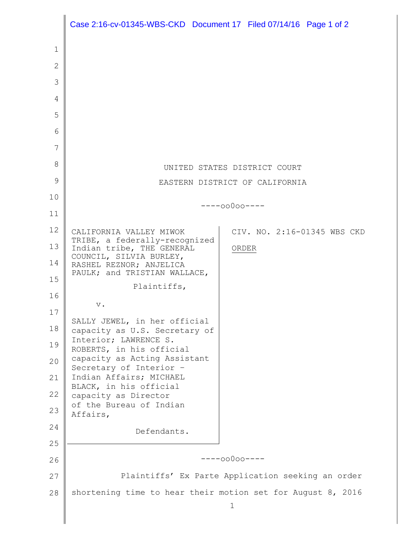|              | Case 2:16-cv-01345-WBS-CKD Document 17 Filed 07/14/16 Page 1 of 2   |
|--------------|---------------------------------------------------------------------|
| 1            |                                                                     |
| $\mathbf{2}$ |                                                                     |
| 3            |                                                                     |
| 4            |                                                                     |
| 5            |                                                                     |
| 6            |                                                                     |
| 7            |                                                                     |
| 8            | UNITED STATES DISTRICT COURT                                        |
| 9            | EASTERN DISTRICT OF CALIFORNIA                                      |
| 10           |                                                                     |
| 11           | $---00000---$                                                       |
| 12           | CIV. NO. 2:16-01345 WBS CKD<br>CALIFORNIA VALLEY MIWOK              |
| 13           | TRIBE, a federally-recognized<br>Indian tribe, THE GENERAL<br>ORDER |
| 14           | COUNCIL, SILVIA BURLEY,<br>RASHEL REZNOR; ANJELICA                  |
| 15           | PAULK; and TRISTIAN WALLACE,                                        |
| 16           | Plaintiffs,                                                         |
| 17           | $\mathbf v$ .                                                       |
| 18           | SALLY JEWEL, in her official<br>capacity as U.S. Secretary of       |
| 19           | Interior; LAWRENCE S.                                               |
| 20           | ROBERTS, in his official<br>capacity as Acting Assistant            |
| 21           | Secretary of Interior -<br>Indian Affairs; MICHAEL                  |
| 22           | BLACK, in his official<br>capacity as Director                      |
| 23           | of the Bureau of Indian                                             |
| 24           | Affairs,                                                            |
| 25           | Defendants.                                                         |
| 26           | $---00000---$                                                       |
| 27           | Plaintiffs' Ex Parte Application seeking an order                   |
| 28           | shortening time to hear their motion set for August 8, 2016         |
|              | 1                                                                   |